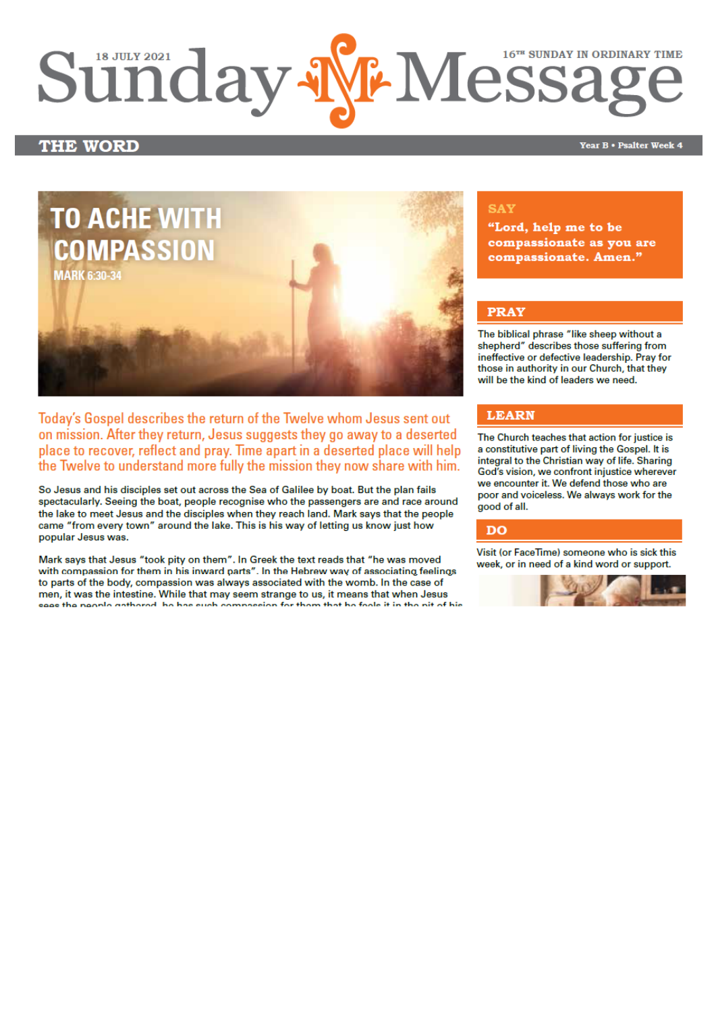# *Our Lady & St Edmund of Abingdon 1 Radley Rd, Abingdon on Thames, Oxon, OX14 3PL*

We are a *LiveSimply* parish aiming to live Simply, Sustainably and in Solidarity with the Poor

| Parish Priest:              | Fr. Jamie McGrath                                               | Tel: 01235 520375 |
|-----------------------------|-----------------------------------------------------------------|-------------------|
| Parish Secretary:           | Lisa Paterson                                                   | Tel: 01235 520375 |
| Office Hours:               | 10.30am-12.30pm Tuesday to Friday                               |                   |
| Office Email:               | abingdon@portsmouthdiocese.org.uk                               |                   |
| We live stream all services |                                                                 |                   |
| Safeguarding Team:          | Tel. 07572 935 230                                              |                   |
| Visits at JR Hospital:      | Priest/Chaplain 01865 221732                                    |                   |
| Visits and Help:            | Society of Vincent de Paul Group, contact via Parish Office     |                   |
| Parish Website:             | www.ourladyandstedmund.org.uk                                   |                   |
| Primary School:             | St. Edmund's School, Radley Road, Abingdon, OX14 3PP Tel 521558 |                   |
|                             |                                                                 |                   |



Roman Catholic Diocese of Portsmouth Reg. Charity No 246871 [www.portsmouthdiocese.org.uk](http://www.portsmouthdiocese.org.uk/)

# **Confessions: Saturdays 11.00 – 11.30am or by appointment**

#### **PARISH OFFICE**

Please note that the parish office will be closed from Friday 30th July to Friday 13th August.

#### **MASS BOOKINGS:**

**The Mass booking system will cease to operate from, and including, Monday 19th July, when you will be able to attend Masses as and when you wish.**  Please note that the government recommends that face masks/coverings continue to be worn in indoor public spaces.

**From Sunday 25th July, the 8.45am Mass on Sundays will resume.**

#### **NEWSLETTERS**

Items for the newsletter should be sent to the parish office by the Wednesday of each week please. Due to the office closure dates (see above), if you have anything which you would like to be included in the newsletters for that period, please ensure that you send it to the parish office (email address above) **by Wednesday 28th July**.

#### **CONFESSIONS**

This is still by appointment for now. Please contact the parish office to make an appointment. Contact details are in the header of this newsletter. **From Saturday 24th July**, Confessions will resume on Saturdays between 11am and 11.30am in the Church or by appointment.

# **16th Week of Ordinary Time (Year B)** *Attendance on Sunday through booking system only, but also available on our live stream*

#### **Sunday 18 July**

| $10.15$ am         | Mass           | (Stanislaw Dyjak, RIP) |
|--------------------|----------------|------------------------|
| 2.00 <sub>pm</sub> | Mass in Polish |                        |
| 6.30 <sub>pm</sub> | Mass           | (Sandra Austric, RIP)  |

#### **Monday 19 July**

| 8.30am | Rosary |                       |  |
|--------|--------|-----------------------|--|
| 9am    | Mass   | (George Keoghan, RIP) |  |

#### **Tuesday 20 July**

NO Mass See: *www.ourladyandstedmund.org.uk/englishmartyrs-vale-of-white-horse* for other Masses

#### **Wednesday 21 July**

| (Pat & Geoff Castle Special)<br>7pm<br>Mass | 6.30 <sub>pm</sub> | Rosary |                                   |
|---------------------------------------------|--------------------|--------|-----------------------------------|
|                                             |                    |        | Intentions – wedding anniversary) |

| <b>Thursday 22 July</b> |        | <b>St Mary Magdalene</b>                              |
|-------------------------|--------|-------------------------------------------------------|
| 9.00am                  | Rosary |                                                       |
| 9.30am                  | Mass   | (Michael Carden, RIP)<br>1 <sup>st</sup> anniversary) |

# **Friday 23 July St Bridget of Sweden**

6.30pm Rosary 7pm Mass (Rose Langridge intentions)

#### **Saturday 24 July**

11am Adoration of the Blessed Sacrament 11-11.30am Confessions 12pm Mass *(Special intention)*